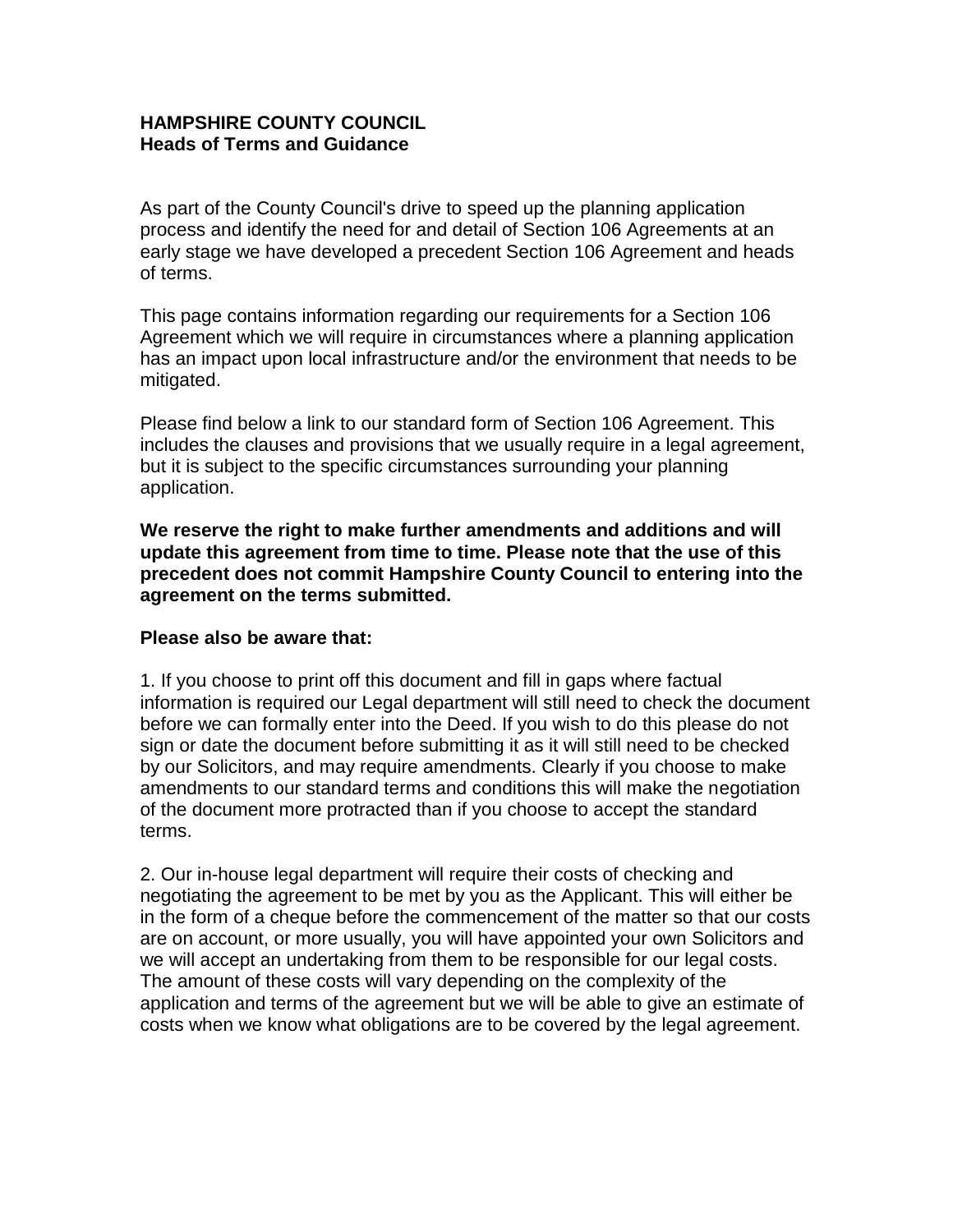### **HAMPSHIRE COUNTY COUNCIL Heads of Terms and Guidance**

As part of the County Council's drive to speed up the planning application process and identify the need for and detail of Section 106 Agreements at an early stage we have developed a precedent Section 106 Agreement and heads of terms.

This page contains information regarding our requirements for a Section 106 Agreement which we will require in circumstances where a planning application has an impact upon local infrastructure and/or the environment that needs to be mitigated.

Please find below a link to our standard form of Section 106 Agreement. This includes the clauses and provisions that we usually require in a legal agreement, but it is subject to the specific circumstances surrounding your planning application.

**We reserve the right to make further amendments and additions and will update this agreement from time to time. Please note that the use of this precedent does not commit Hampshire County Council to entering into the agreement on the terms submitted.**

## **Please also be aware that:**

1. If you choose to print off this document and fill in gaps where factual information is required our Legal department will still need to check the document before we can formally enter into the Deed. If you wish to do this please do not sign or date the document before submitting it as it will still need to be checked by our Solicitors, and may require amendments. Clearly if you choose to make amendments to our standard terms and conditions this will make the negotiation of the document more protracted than if you choose to accept the standard terms.

2. Our in-house legal department will require their costs of checking and negotiating the agreement to be met by you as the Applicant. This will either be in the form of a cheque before the commencement of the matter so that our costs are on account, or more usually, you will have appointed your own Solicitors and we will accept an undertaking from them to be responsible for our legal costs. The amount of these costs will vary depending on the complexity of the application and terms of the agreement but we will be able to give an estimate of costs when we know what obligations are to be covered by the legal agreement.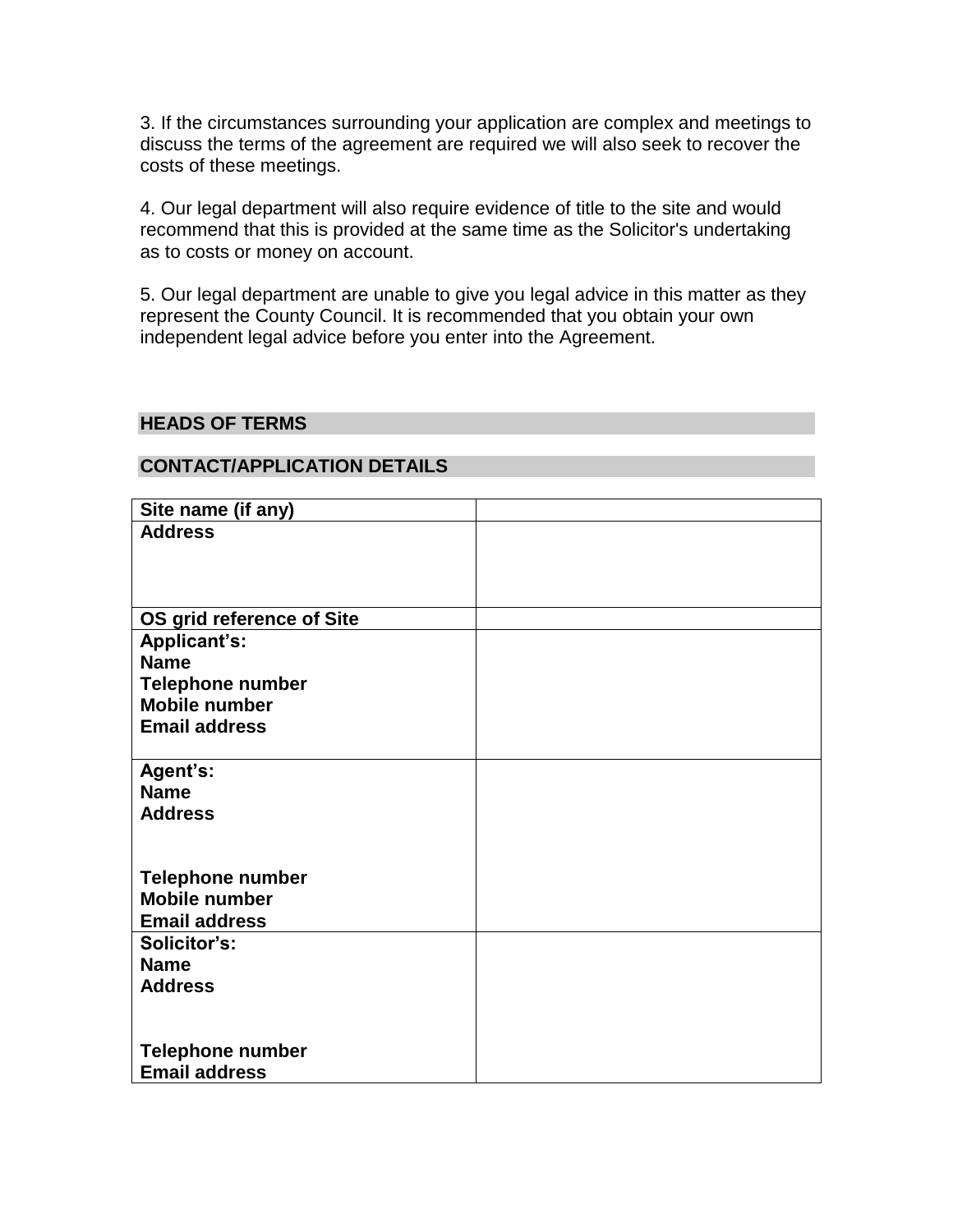3. If the circumstances surrounding your application are complex and meetings to discuss the terms of the agreement are required we will also seek to recover the costs of these meetings.

4. Our legal department will also require evidence of title to the site and would recommend that this is provided at the same time as the Solicitor's undertaking as to costs or money on account.

5. Our legal department are unable to give you legal advice in this matter as they represent the County Council. It is recommended that you obtain your own independent legal advice before you enter into the Agreement.

### **HEADS OF TERMS**

### **CONTACT/APPLICATION DETAILS**

| Site name (if any)        |  |
|---------------------------|--|
| <b>Address</b>            |  |
|                           |  |
|                           |  |
|                           |  |
|                           |  |
| OS grid reference of Site |  |
| Applicant's:              |  |
| <b>Name</b>               |  |
| Telephone number          |  |
| <b>Mobile number</b>      |  |
| <b>Email address</b>      |  |
|                           |  |
| Agent's:                  |  |
| <b>Name</b>               |  |
| <b>Address</b>            |  |
|                           |  |
|                           |  |
| <b>Telephone number</b>   |  |
| <b>Mobile number</b>      |  |
| <b>Email address</b>      |  |
| Solicitor's:              |  |
| <b>Name</b>               |  |
| <b>Address</b>            |  |
|                           |  |
|                           |  |
|                           |  |
| <b>Telephone number</b>   |  |
| <b>Email address</b>      |  |